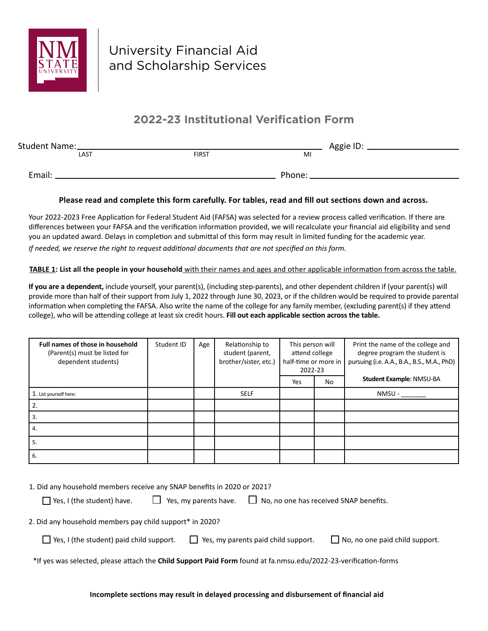

University Financial Aid and Scholarship Services

## **2022-23 Institutional Verification Form**

| Student Name:_ |              | Aggie ID: |  |
|----------------|--------------|-----------|--|
| LAST           | <b>FIRST</b> | M         |  |
|                |              |           |  |
| Email:         |              | Phone:    |  |

## **Please read and complete this form carefully. For tables, read and fill out sections down and across.**

Your 2022-2023 Free Application for Federal Student Aid (FAFSA) was selected for a review process called verification. If there are differences between your FAFSA and the verification information provided, we will recalculate your financial aid eligibility and send you an updated award. Delays in completion and submittal of this form may result in limited funding for the academic year.

*If needed, we reserve the right to request additional documents that are not specified on this form.*

**TABLE 1: List all the people in your household** with their names and ages and other applicable information from across the table.

**If you are a dependent,** include yourself, your parent(s), (including step-parents), and other dependent children if (your parent(s) will provide more than half of their support from July 1, 2022 through June 30, 2023, or if the children would be required to provide parental information when completing the FAFSA. Also write the name of the college for any family member, (excluding parent(s) if they attend college), who will be attending college at least six credit hours. **Fill out each applicable section across the table.** 

| Full names of those in household<br>(Parent(s) must be listed for<br>dependent students) | Student ID | Age | Relationship to<br>student (parent,<br>brother/sister, etc.) | This person will<br>attend college<br>half-time or more in<br>2022-23 |    | Print the name of the college and<br>degree program the student is<br>pursuing (i.e. A.A., B.A., B.S., M.A., PhD) |
|------------------------------------------------------------------------------------------|------------|-----|--------------------------------------------------------------|-----------------------------------------------------------------------|----|-------------------------------------------------------------------------------------------------------------------|
|                                                                                          |            |     |                                                              | Yes                                                                   | No | Student Example: NMSU-BA                                                                                          |
| 1. List yourself here:                                                                   |            |     | <b>SELF</b>                                                  |                                                                       |    | NMSU-                                                                                                             |
| 2.                                                                                       |            |     |                                                              |                                                                       |    |                                                                                                                   |
| 3.                                                                                       |            |     |                                                              |                                                                       |    |                                                                                                                   |
| 4.                                                                                       |            |     |                                                              |                                                                       |    |                                                                                                                   |
| 5.                                                                                       |            |     |                                                              |                                                                       |    |                                                                                                                   |
| 6.                                                                                       |            |     |                                                              |                                                                       |    |                                                                                                                   |

1. Did any household members receive any SNAP benefits in 2020 or 2021?

 $\Box$  Yes, I (the student) have.  $\Box$  Yes, my parents have.  $\Box$  No, no one has received SNAP benefits.

2. Did any household members pay child support\* in 2020?

- $\Box$  Yes, I (the student) paid child support.  $\Box$  Yes, my parents paid child support.  $\Box$  No, no one paid child support.
- 

\*If yes was selected, please attach the **Child Support Paid Form** found at fa.nmsu.edu/2022-23-verification-forms